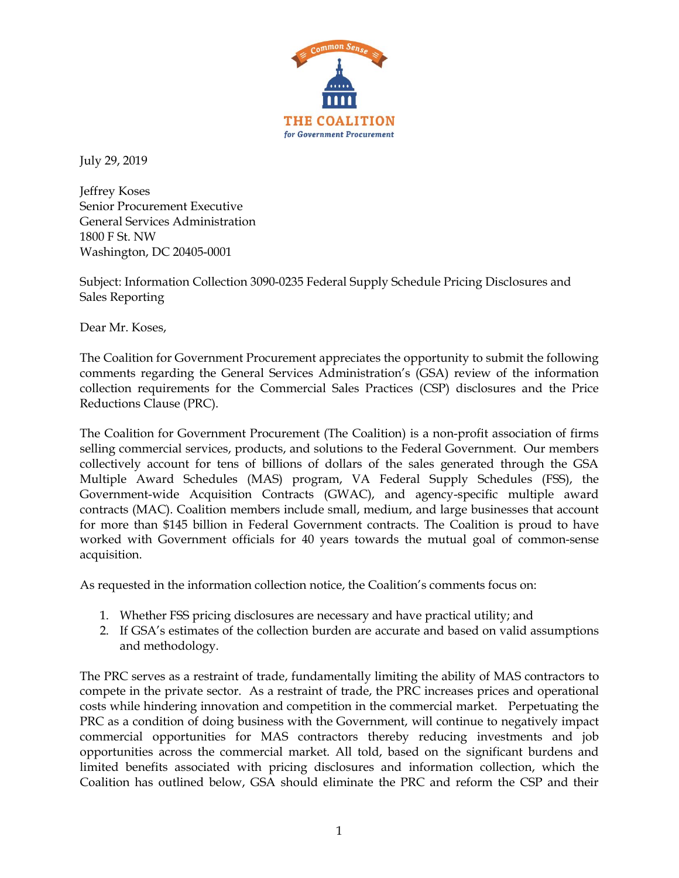

July 29, 2019

Jeffrey Koses Senior Procurement Executive General Services Administration 1800 F St. NW Washington, DC 20405-0001

Subject: Information Collection 3090-0235 Federal Supply Schedule Pricing Disclosures and Sales Reporting

Dear Mr. Koses,

The Coalition for Government Procurement appreciates the opportunity to submit the following comments regarding the General Services Administration's (GSA) review of the information collection requirements for the Commercial Sales Practices (CSP) disclosures and the Price Reductions Clause (PRC).

The Coalition for Government Procurement (The Coalition) is a non-profit association of firms selling commercial services, products, and solutions to the Federal Government. Our members collectively account for tens of billions of dollars of the sales generated through the GSA Multiple Award Schedules (MAS) program, VA Federal Supply Schedules (FSS), the Government-wide Acquisition Contracts (GWAC), and agency-specific multiple award contracts (MAC). Coalition members include small, medium, and large businesses that account for more than \$145 billion in Federal Government contracts. The Coalition is proud to have worked with Government officials for 40 years towards the mutual goal of common-sense acquisition.

As requested in the information collection notice, the Coalition's comments focus on:

- 1. Whether FSS pricing disclosures are necessary and have practical utility; and
- 2. If GSA's estimates of the collection burden are accurate and based on valid assumptions and methodology.

The PRC serves as a restraint of trade, fundamentally limiting the ability of MAS contractors to compete in the private sector. As a restraint of trade, the PRC increases prices and operational costs while hindering innovation and competition in the commercial market. Perpetuating the PRC as a condition of doing business with the Government, will continue to negatively impact commercial opportunities for MAS contractors thereby reducing investments and job opportunities across the commercial market. All told, based on the significant burdens and limited benefits associated with pricing disclosures and information collection, which the Coalition has outlined below, GSA should eliminate the PRC and reform the CSP and their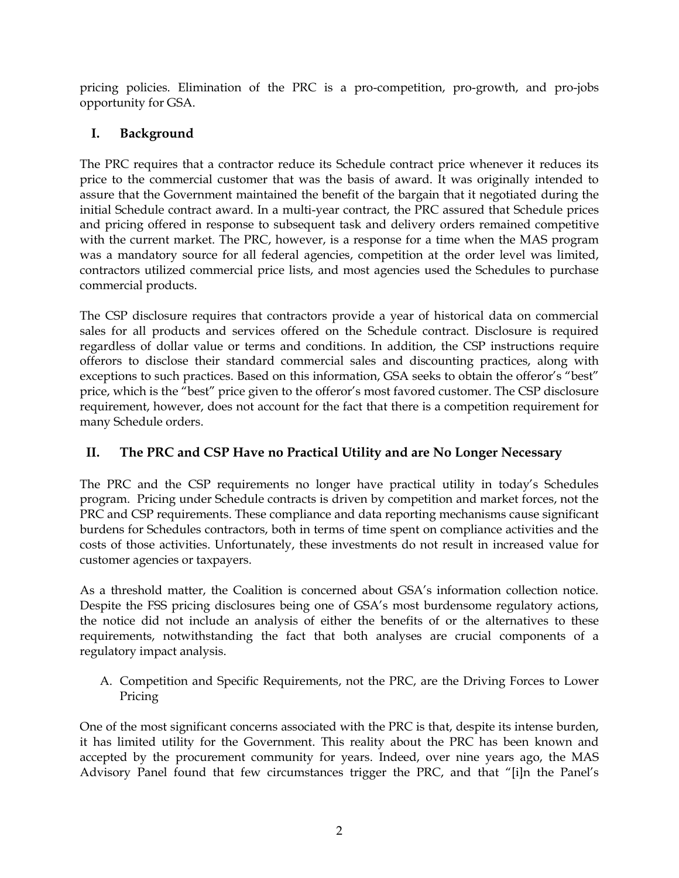pricing policies. Elimination of the PRC is a pro-competition, pro-growth, and pro-jobs opportunity for GSA.

# **I. Background**

The PRC requires that a contractor reduce its Schedule contract price whenever it reduces its price to the commercial customer that was the basis of award. It was originally intended to assure that the Government maintained the benefit of the bargain that it negotiated during the initial Schedule contract award. In a multi-year contract, the PRC assured that Schedule prices and pricing offered in response to subsequent task and delivery orders remained competitive with the current market. The PRC, however, is a response for a time when the MAS program was a mandatory source for all federal agencies, competition at the order level was limited, contractors utilized commercial price lists, and most agencies used the Schedules to purchase commercial products.

The CSP disclosure requires that contractors provide a year of historical data on commercial sales for all products and services offered on the Schedule contract. Disclosure is required regardless of dollar value or terms and conditions. In addition, the CSP instructions require offerors to disclose their standard commercial sales and discounting practices, along with exceptions to such practices. Based on this information, GSA seeks to obtain the offeror's "best" price, which is the "best" price given to the offeror's most favored customer. The CSP disclosure requirement, however, does not account for the fact that there is a competition requirement for many Schedule orders.

## **II. The PRC and CSP Have no Practical Utility and are No Longer Necessary**

The PRC and the CSP requirements no longer have practical utility in today's Schedules program. Pricing under Schedule contracts is driven by competition and market forces, not the PRC and CSP requirements. These compliance and data reporting mechanisms cause significant burdens for Schedules contractors, both in terms of time spent on compliance activities and the costs of those activities. Unfortunately, these investments do not result in increased value for customer agencies or taxpayers.

As a threshold matter, the Coalition is concerned about GSA's information collection notice. Despite the FSS pricing disclosures being one of GSA's most burdensome regulatory actions, the notice did not include an analysis of either the benefits of or the alternatives to these requirements, notwithstanding the fact that both analyses are crucial components of a regulatory impact analysis.

A. Competition and Specific Requirements, not the PRC, are the Driving Forces to Lower Pricing

One of the most significant concerns associated with the PRC is that, despite its intense burden, it has limited utility for the Government. This reality about the PRC has been known and accepted by the procurement community for years. Indeed, over nine years ago, the MAS Advisory Panel found that few circumstances trigger the PRC, and that "[i]n the Panel's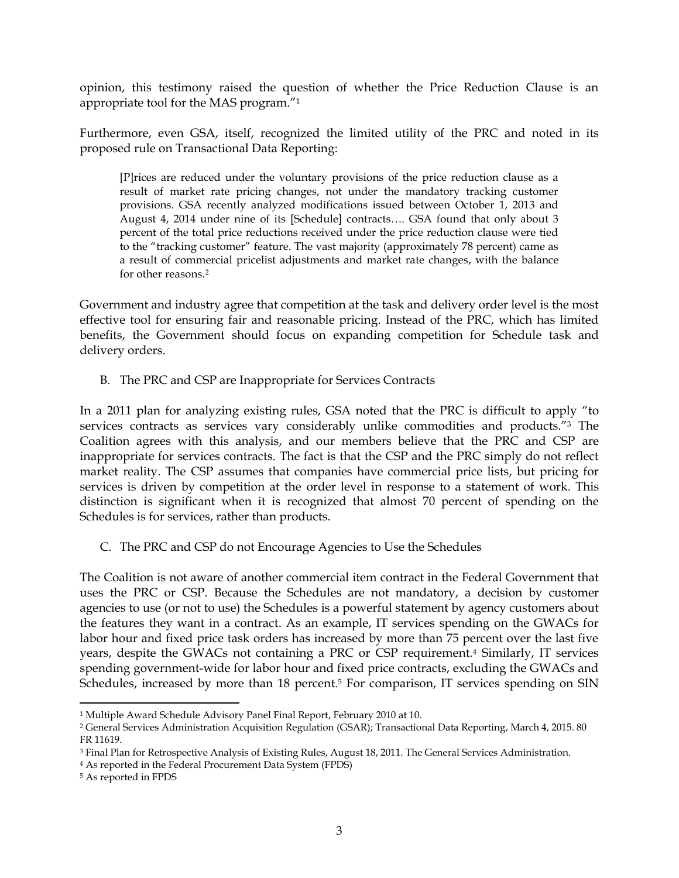opinion, this testimony raised the question of whether the Price Reduction Clause is an appropriate tool for the MAS program."<sup>1</sup>

Furthermore, even GSA, itself, recognized the limited utility of the PRC and noted in its proposed rule on Transactional Data Reporting:

[P]rices are reduced under the voluntary provisions of the price reduction clause as a result of market rate pricing changes, not under the mandatory tracking customer provisions. GSA recently analyzed modifications issued between October 1, 2013 and August 4, 2014 under nine of its [Schedule] contracts…. GSA found that only about 3 percent of the total price reductions received under the price reduction clause were tied to the "tracking customer" feature. The vast majority (approximately 78 percent) came as a result of commercial pricelist adjustments and market rate changes, with the balance for other reasons.<sup>2</sup>

Government and industry agree that competition at the task and delivery order level is the most effective tool for ensuring fair and reasonable pricing. Instead of the PRC, which has limited benefits, the Government should focus on expanding competition for Schedule task and delivery orders.

B. The PRC and CSP are Inappropriate for Services Contracts

In a 2011 plan for analyzing existing rules, GSA noted that the PRC is difficult to apply "to services contracts as services vary considerably unlike commodities and products."<sup>3</sup> The Coalition agrees with this analysis, and our members believe that the PRC and CSP are inappropriate for services contracts. The fact is that the CSP and the PRC simply do not reflect market reality. The CSP assumes that companies have commercial price lists, but pricing for services is driven by competition at the order level in response to a statement of work. This distinction is significant when it is recognized that almost 70 percent of spending on the Schedules is for services, rather than products.

C. The PRC and CSP do not Encourage Agencies to Use the Schedules

The Coalition is not aware of another commercial item contract in the Federal Government that uses the PRC or CSP. Because the Schedules are not mandatory, a decision by customer agencies to use (or not to use) the Schedules is a powerful statement by agency customers about the features they want in a contract. As an example, IT services spending on the GWACs for labor hour and fixed price task orders has increased by more than 75 percent over the last five years, despite the GWACs not containing a PRC or CSP requirement.<sup>4</sup> Similarly, IT services spending government-wide for labor hour and fixed price contracts, excluding the GWACs and Schedules, increased by more than 18 percent.<sup>5</sup> For comparison, IT services spending on SIN

 $\overline{\phantom{a}}$ <sup>1</sup> Multiple Award Schedule Advisory Panel Final Report, February 2010 at 10.

<sup>2</sup> General Services Administration Acquisition Regulation (GSAR); Transactional Data Reporting, March 4, 2015. 80 FR 11619.

<sup>3</sup> Final Plan for Retrospective Analysis of Existing Rules, August 18, 2011. The General Services Administration.

<sup>4</sup> As reported in the Federal Procurement Data System (FPDS)

<sup>5</sup> As reported in FPDS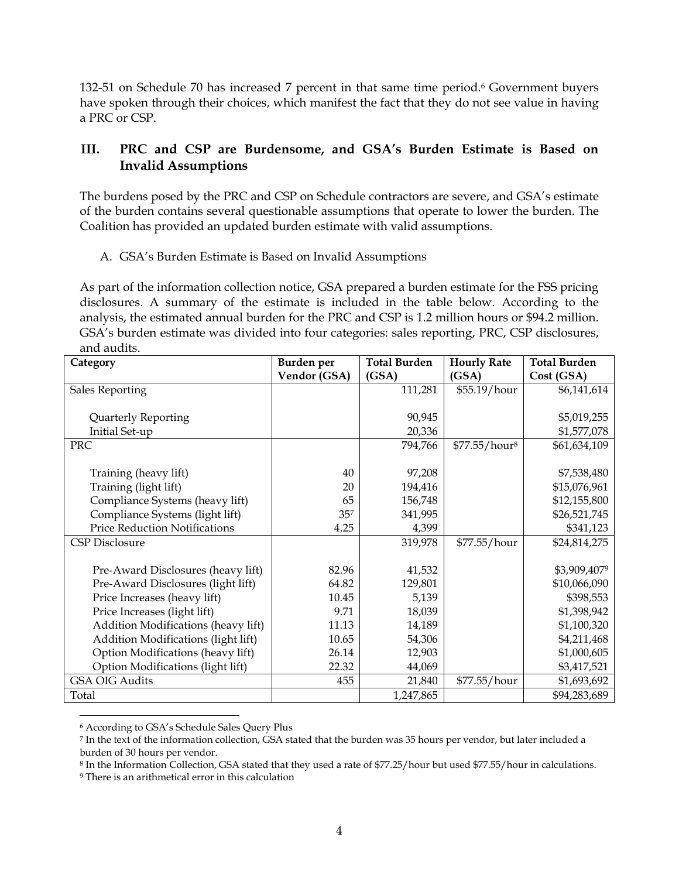132-51 on Schedule 70 has increased 7 percent in that same time period.<sup>6</sup> Government buyers have spoken through their choices, which manifest the fact that they do not see value in having a PRC or CSP.

### **III. PRC and CSP are Burdensome, and GSA's Burden Estimate is Based on Invalid Assumptions**

The burdens posed by the PRC and CSP on Schedule contractors are severe, and GSA's estimate of the burden contains several questionable assumptions that operate to lower the burden. The Coalition has provided an updated burden estimate with valid assumptions.

#### A. GSA's Burden Estimate is Based on Invalid Assumptions

As part of the information collection notice, GSA prepared a burden estimate for the FSS pricing disclosures. A summary of the estimate is included in the table below. According to the analysis, the estimated annual burden for the PRC and CSP is 1.2 million hours or \$94.2 million. GSA's burden estimate was divided into four categories: sales reporting, PRC, CSP disclosures, and audits.

| Category                             | Burden per   | <b>Total Burden</b> | <b>Hourly Rate</b>        | <b>Total Burden</b> |
|--------------------------------------|--------------|---------------------|---------------------------|---------------------|
|                                      | Vendor (GSA) | (GSA)               | (GSA)                     | Cost (GSA)          |
| Sales Reporting                      |              | 111,281             | \$55.19/hour              | \$6,141,614         |
|                                      |              |                     |                           |                     |
| Quarterly Reporting                  |              | 90,945              |                           | \$5,019,255         |
| Initial Set-up                       |              | 20,336              |                           | \$1,577,078         |
| <b>PRC</b>                           |              | 794,766             | \$77.55/hour <sup>8</sup> | \$61,634,109        |
|                                      |              |                     |                           |                     |
| Training (heavy lift)                | 40           | 97,208              |                           | \$7,538,480         |
| Training (light lift)                | 20           | 194,416             |                           | \$15,076,961        |
| Compliance Systems (heavy lift)      | 65           | 156,748             |                           | \$12,155,800        |
| Compliance Systems (light lift)      | $35^{7}$     | 341,995             |                           | \$26,521,745        |
| <b>Price Reduction Notifications</b> | 4.25         | 4,399               |                           | \$341,123           |
| CSP Disclosure                       |              | 319,978             | \$77.55/hour              | \$24,814,275        |
|                                      |              |                     |                           |                     |
| Pre-Award Disclosures (heavy lift)   | 82.96        | 41,532              |                           | \$3,909,4079        |
| Pre-Award Disclosures (light lift)   | 64.82        | 129,801             |                           | \$10,066,090        |
| Price Increases (heavy lift)         | 10.45        | 5,139               |                           | \$398,553           |
| Price Increases (light lift)         | 9.71         | 18,039              |                           | \$1,398,942         |
| Addition Modifications (heavy lift)  | 11.13        | 14,189              |                           | \$1,100,320         |
| Addition Modifications (light lift)  | 10.65        | 54,306              |                           | \$4,211,468         |
| Option Modifications (heavy lift)    | 26.14        | 12,903              |                           | \$1,000,605         |
| Option Modifications (light lift)    | 22.32        | 44,069              |                           | \$3,417,521         |
| <b>GSA OIG Audits</b>                | 455          | 21,840              | \$77.55/hour              | \$1,693,692         |
| Total                                |              | 1,247,865           |                           | \$94,283,689        |

 $\overline{\phantom{a}}$ <sup>6</sup> According to GSA's Schedule Sales Query Plus

<sup>7</sup> In the text of the information collection, GSA stated that the burden was 35 hours per vendor, but later included a burden of 30 hours per vendor.

<sup>8</sup> In the Information Collection, GSA stated that they used a rate of \$77.25/hour but used \$77.55/hour in calculations.

<sup>9</sup> There is an arithmetical error in this calculation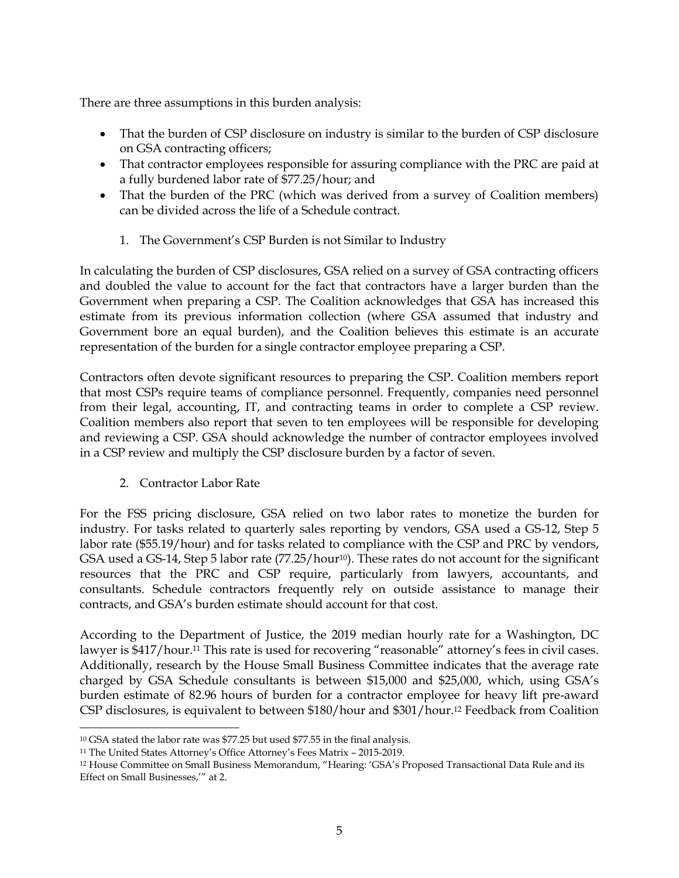There are three assumptions in this burden analysis:

- That the burden of CSP disclosure on industry is similar to the burden of CSP disclosure on GSA contracting officers;
- That contractor employees responsible for assuring compliance with the PRC are paid at a fully burdened labor rate of \$77.25/hour; and
- That the burden of the PRC (which was derived from a survey of Coalition members) can be divided across the life of a Schedule contract.
	- 1. The Government's CSP Burden is not Similar to Industry

In calculating the burden of CSP disclosures, GSA relied on a survey of GSA contracting officers and doubled the value to account for the fact that contractors have a larger burden than the Government when preparing a CSP. The Coalition acknowledges that GSA has increased this estimate from its previous information collection (where GSA assumed that industry and Government bore an equal burden), and the Coalition believes this estimate is an accurate representation of the burden for a single contractor employee preparing a CSP.

Contractors often devote significant resources to preparing the CSP. Coalition members report that most CSPs require teams of compliance personnel. Frequently, companies need personnel from their legal, accounting, IT, and contracting teams in order to complete a CSP review. Coalition members also report that seven to ten employees will be responsible for developing and reviewing a CSP. GSA should acknowledge the number of contractor employees involved in a CSP review and multiply the CSP disclosure burden by a factor of seven.

2. Contractor Labor Rate

l

For the FSS pricing disclosure, GSA relied on two labor rates to monetize the burden for industry. For tasks related to quarterly sales reporting by vendors, GSA used a GS-12, Step 5 labor rate (\$55.19/hour) and for tasks related to compliance with the CSP and PRC by vendors, GSA used a GS-14, Step 5 labor rate (77.25/hour<sup>10</sup>). These rates do not account for the significant resources that the PRC and CSP require, particularly from lawyers, accountants, and consultants. Schedule contractors frequently rely on outside assistance to manage their contracts, and GSA's burden estimate should account for that cost.

According to the Department of Justice, the 2019 median hourly rate for a Washington, DC lawyer is \$417/hour.<sup>11</sup> This rate is used for recovering "reasonable" attorney's fees in civil cases. Additionally, research by the House Small Business Committee indicates that the average rate charged by GSA Schedule consultants is between \$15,000 and \$25,000, which, using GSA's burden estimate of 82.96 hours of burden for a contractor employee for heavy lift pre-award CSP disclosures, is equivalent to between \$180/hour and \$301/hour.<sup>12</sup> Feedback from Coalition

<sup>10</sup> GSA stated the labor rate was \$77.25 but used \$77.55 in the final analysis.

<sup>11</sup> The United States Attorney's Office Attorney's Fees Matrix – 2015-2019.

<sup>12</sup> House Committee on Small Business Memorandum, "Hearing: 'GSA's Proposed Transactional Data Rule and its Effect on Small Businesses,'" at 2.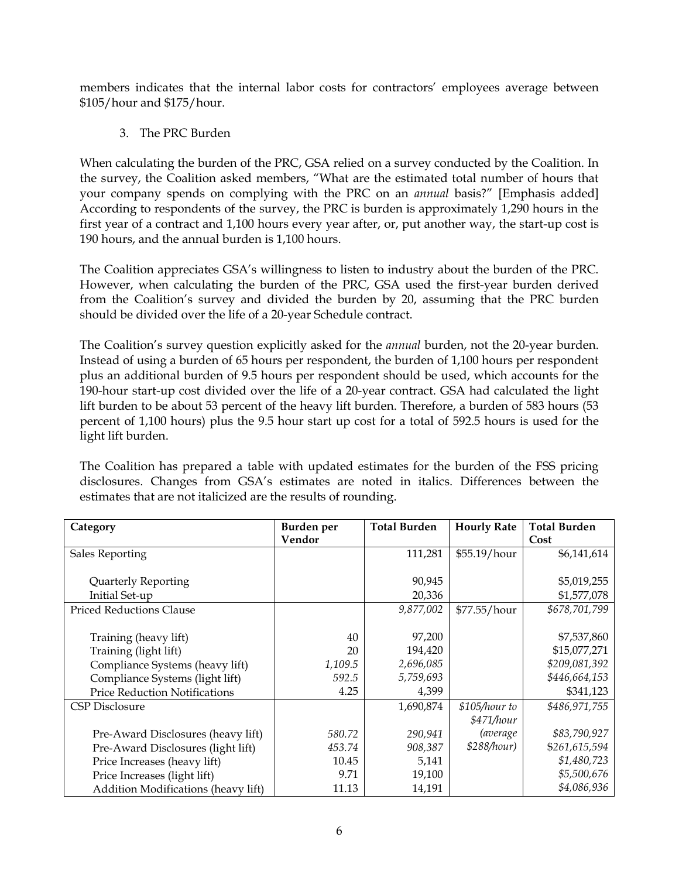members indicates that the internal labor costs for contractors' employees average between \$105/hour and \$175/hour.

3. The PRC Burden

When calculating the burden of the PRC, GSA relied on a survey conducted by the Coalition. In the survey, the Coalition asked members, "What are the estimated total number of hours that your company spends on complying with the PRC on an *annual* basis?" [Emphasis added] According to respondents of the survey, the PRC is burden is approximately 1,290 hours in the first year of a contract and 1,100 hours every year after, or, put another way, the start-up cost is 190 hours, and the annual burden is 1,100 hours.

The Coalition appreciates GSA's willingness to listen to industry about the burden of the PRC. However, when calculating the burden of the PRC, GSA used the first-year burden derived from the Coalition's survey and divided the burden by 20, assuming that the PRC burden should be divided over the life of a 20-year Schedule contract.

The Coalition's survey question explicitly asked for the *annual* burden, not the 20-year burden. Instead of using a burden of 65 hours per respondent, the burden of 1,100 hours per respondent plus an additional burden of 9.5 hours per respondent should be used, which accounts for the 190-hour start-up cost divided over the life of a 20-year contract. GSA had calculated the light lift burden to be about 53 percent of the heavy lift burden. Therefore, a burden of 583 hours (53 percent of 1,100 hours) plus the 9.5 hour start up cost for a total of 592.5 hours is used for the light lift burden.

The Coalition has prepared a table with updated estimates for the burden of the FSS pricing disclosures. Changes from GSA's estimates are noted in italics. Differences between the estimates that are not italicized are the results of rounding.

| Category                                   | Burden per | <b>Total Burden</b> | <b>Hourly Rate</b> | <b>Total Burden</b> |
|--------------------------------------------|------------|---------------------|--------------------|---------------------|
|                                            | Vendor     |                     |                    | Cost                |
| <b>Sales Reporting</b>                     |            | 111,281             | \$55.19/hour       | \$6,141,614         |
|                                            |            |                     |                    |                     |
| Quarterly Reporting                        |            | 90,945              |                    | \$5,019,255         |
| Initial Set-up                             |            | 20,336              |                    | \$1,577,078         |
| <b>Priced Reductions Clause</b>            |            | 9,877,002           | \$77.55/hour       | \$678,701,799       |
|                                            |            |                     |                    |                     |
| Training (heavy lift)                      | 40         | 97,200              |                    | \$7,537,860         |
| Training (light lift)                      | 20         | 194,420             |                    | \$15,077,271        |
| Compliance Systems (heavy lift)            | 1,109.5    | 2,696,085           |                    | \$209,081,392       |
| Compliance Systems (light lift)            | 592.5      | 5,759,693           |                    | \$446,664,153       |
| <b>Price Reduction Notifications</b>       | 4.25       | 4,399               |                    | \$341,123           |
| CSP Disclosure                             |            | 1,690,874           | \$105/hour to      | \$486,971,755       |
|                                            |            |                     | \$471/hour         |                     |
| Pre-Award Disclosures (heavy lift)         | 580.72     | 290,941             | <i>(average</i>    | \$83,790,927        |
| Pre-Award Disclosures (light lift)         | 453.74     | 908,387             | \$288/hour)        | \$261,615,594       |
| Price Increases (heavy lift)               | 10.45      | 5,141               |                    | \$1,480,723         |
| Price Increases (light lift)               | 9.71       | 19,100              |                    | \$5,500,676         |
| <b>Addition Modifications (heavy lift)</b> | 11.13      | 14,191              |                    | \$4,086,936         |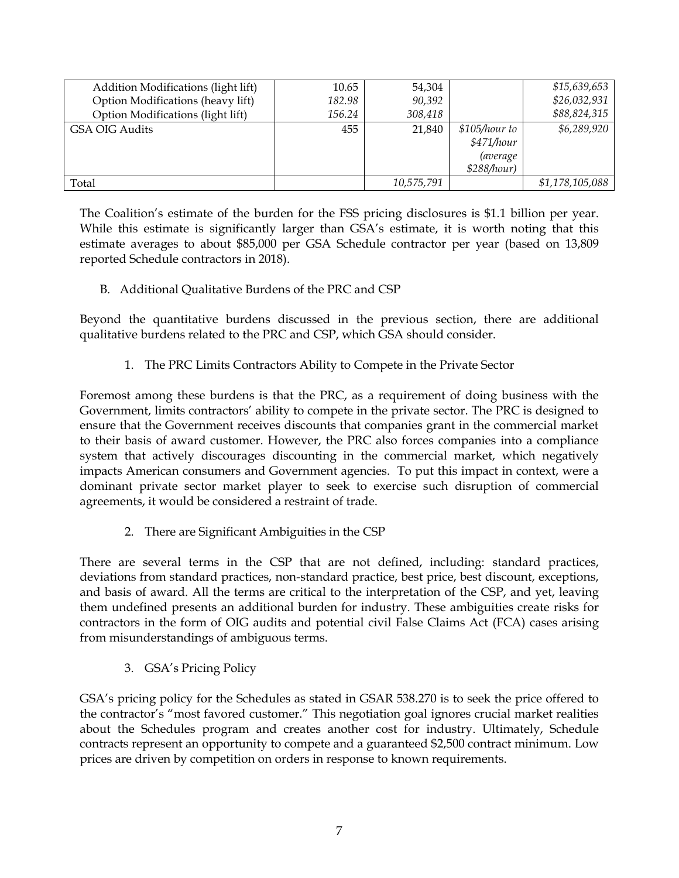| Addition Modifications (light lift) | 10.65  | 54,304     |                                                               | \$15,639,653    |
|-------------------------------------|--------|------------|---------------------------------------------------------------|-----------------|
| Option Modifications (heavy lift)   | 182.98 | 90,392     |                                                               | \$26,032,931    |
| Option Modifications (light lift)   | 156.24 | 308,418    |                                                               | \$88,824,315    |
| GSA OIG Audits                      | 455    | 21,840     | \$105/hour to<br>\$471/hour<br><i>(average</i><br>\$288/hour) | \$6,289,920     |
| Total                               |        | 10,575,791 |                                                               | \$1,178,105,088 |

The Coalition's estimate of the burden for the FSS pricing disclosures is \$1.1 billion per year. While this estimate is significantly larger than GSA's estimate, it is worth noting that this estimate averages to about \$85,000 per GSA Schedule contractor per year (based on 13,809 reported Schedule contractors in 2018).

B. Additional Qualitative Burdens of the PRC and CSP

Beyond the quantitative burdens discussed in the previous section, there are additional qualitative burdens related to the PRC and CSP, which GSA should consider.

1. The PRC Limits Contractors Ability to Compete in the Private Sector

Foremost among these burdens is that the PRC, as a requirement of doing business with the Government, limits contractors' ability to compete in the private sector. The PRC is designed to ensure that the Government receives discounts that companies grant in the commercial market to their basis of award customer. However, the PRC also forces companies into a compliance system that actively discourages discounting in the commercial market, which negatively impacts American consumers and Government agencies. To put this impact in context, were a dominant private sector market player to seek to exercise such disruption of commercial agreements, it would be considered a restraint of trade.

2. There are Significant Ambiguities in the CSP

There are several terms in the CSP that are not defined, including: standard practices, deviations from standard practices, non-standard practice, best price, best discount, exceptions, and basis of award. All the terms are critical to the interpretation of the CSP, and yet, leaving them undefined presents an additional burden for industry. These ambiguities create risks for contractors in the form of OIG audits and potential civil False Claims Act (FCA) cases arising from misunderstandings of ambiguous terms.

3. GSA's Pricing Policy

GSA's pricing policy for the Schedules as stated in GSAR 538.270 is to seek the price offered to the contractor's "most favored customer." This negotiation goal ignores crucial market realities about the Schedules program and creates another cost for industry. Ultimately, Schedule contracts represent an opportunity to compete and a guaranteed \$2,500 contract minimum. Low prices are driven by competition on orders in response to known requirements.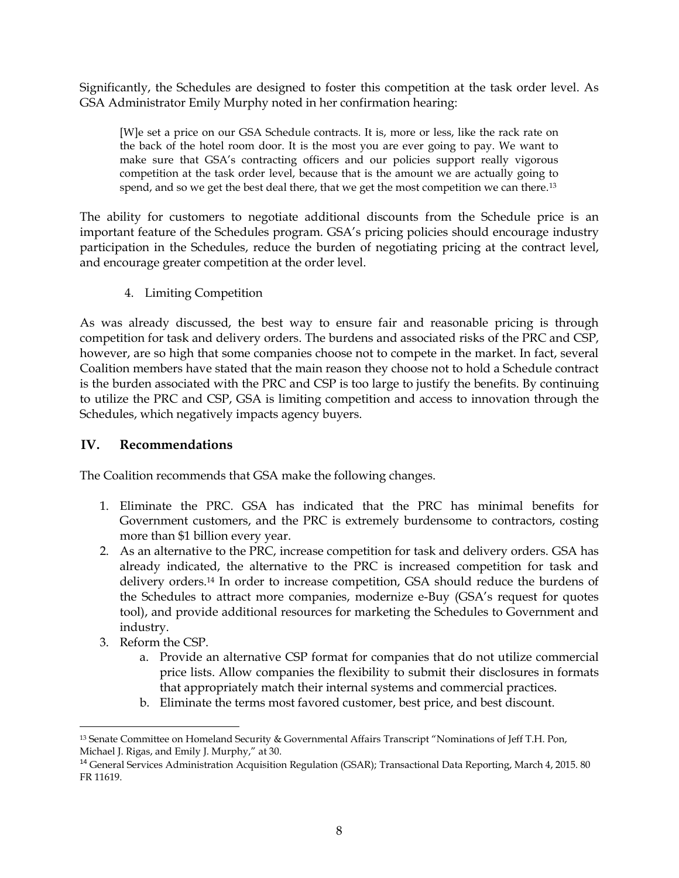Significantly, the Schedules are designed to foster this competition at the task order level. As GSA Administrator Emily Murphy noted in her confirmation hearing:

[W]e set a price on our GSA Schedule contracts. It is, more or less, like the rack rate on the back of the hotel room door. It is the most you are ever going to pay. We want to make sure that GSA's contracting officers and our policies support really vigorous competition at the task order level, because that is the amount we are actually going to spend, and so we get the best deal there, that we get the most competition we can there.<sup>13</sup>

The ability for customers to negotiate additional discounts from the Schedule price is an important feature of the Schedules program. GSA's pricing policies should encourage industry participation in the Schedules, reduce the burden of negotiating pricing at the contract level, and encourage greater competition at the order level.

4. Limiting Competition

As was already discussed, the best way to ensure fair and reasonable pricing is through competition for task and delivery orders. The burdens and associated risks of the PRC and CSP, however, are so high that some companies choose not to compete in the market. In fact, several Coalition members have stated that the main reason they choose not to hold a Schedule contract is the burden associated with the PRC and CSP is too large to justify the benefits. By continuing to utilize the PRC and CSP, GSA is limiting competition and access to innovation through the Schedules, which negatively impacts agency buyers.

### **IV. Recommendations**

The Coalition recommends that GSA make the following changes.

- 1. Eliminate the PRC. GSA has indicated that the PRC has minimal benefits for Government customers, and the PRC is extremely burdensome to contractors, costing more than \$1 billion every year.
- 2. As an alternative to the PRC, increase competition for task and delivery orders. GSA has already indicated, the alternative to the PRC is increased competition for task and delivery orders.<sup>14</sup> In order to increase competition, GSA should reduce the burdens of the Schedules to attract more companies, modernize e-Buy (GSA's request for quotes tool), and provide additional resources for marketing the Schedules to Government and industry.
- 3. Reform the CSP.

 $\overline{\phantom{a}}$ 

- a. Provide an alternative CSP format for companies that do not utilize commercial price lists. Allow companies the flexibility to submit their disclosures in formats that appropriately match their internal systems and commercial practices.
- b. Eliminate the terms most favored customer, best price, and best discount.

<sup>13</sup> Senate Committee on Homeland Security & Governmental Affairs Transcript "Nominations of Jeff T.H. Pon, Michael J. Rigas, and Emily J. Murphy," at 30.

<sup>&</sup>lt;sup>14</sup> General Services Administration Acquisition Regulation (GSAR); Transactional Data Reporting, March 4, 2015. 80 FR 11619.